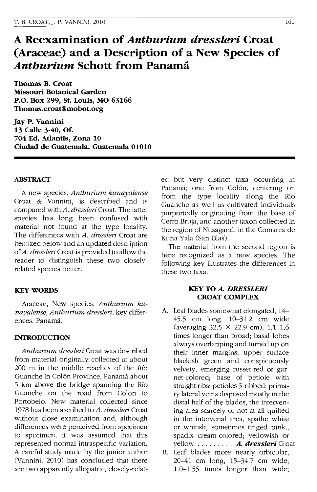# **A Reexamination of** *Anthurium dressleri* **Croat (Araceae) and a Description of a New Species of**  *Anthurium* **Schott from Panama**

**Thomas B. Croat Missouri Botanical Garden P.O. Box 299, st. Louis, MO 63166 Thomas.croat@mobot.org** 

**Jay P. Vannini 13 Calle 3-40, Of. 704 Ed. Atlantis, Zona 10 Ciudad de Guatemala, Guatemala 01010** 

## **ABSTRACf**

A new species, *Anthurium kunayalense*  Croat & Vannini, is described and is compared with *A. dressleri* Croat. The latter species has long been confused with material not found at the type locality. The differences with *A. dressleri* Croat are itemized below and an updated description of *A. dressleri* Croat is provided to allow the reader to distinguish these two closelyrelated species better.

## **KEY WORDS**

Araceae, New species, *Anthurium kunayalense, Anthurium dressleri,* key differences, Panamá.

## **INTRODUCTION**

*Anthurium dressleri* Croat was described from material originally collected at about 200 m in the middle reaches of the Rio Guanche in Colón Province, Panamá about 5 km above the bridge spanning the Río Guanche on the road from Colón to Portobelo. New material collected since 1978 has been ascribed to *A. dressleri* Croat without close examination and, although differences were perceived from specimen to specimen, it was assumed that this represented normal intraspecific variation. A careful study made by the junior author (Vannini, 2010) has concluded that there are two apparently allopatric, closely-related but very distinct taxa occurring in Panamá; one from Colón, centering on from the type locality along the Río Guanche as well as cultivated individuals purportedly originating from the base of Cerro Bruja, and another taxon collected in the region of Nusagandi in the Comarca de Kuna Yala (San Bias).

The material from the second region is here recognized as a new species. The following key illustrates the differences in these two taxa.

## **KEY TO** *A. DRESSLERI*  **CROAT COMPLEX**

- A. Leaf blades somewhat elongated, 14- 45.5 cm long, 10-31.2 cm wide (averaging 32.5 X 22.9 cm), 1.1-1.6 times longer than broad; basal lobes always overlapping and turned up on their inner margins; upper surface blackish green and conspicuously velvety, emerging russet-red or garnet-colored; base of petiole with straight ribs; petioles 5-ribbed; primary lateral veins disposed mostly in the distal half of the blades, the intervening area scarcely or not at all quilted in the intervenal area, spathe white or whitish, sometimes tinged pink., spadix cream-colored; yellowish or yellow .......... *. A. dresslerl* Croat
- B. Leaf blades more nearly orbicular, 20-41 cm long, 15-34.7 cm wide, 1.0-1.55 times longer than wide;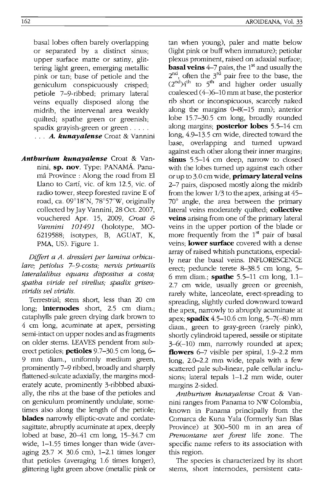basal lobes often barely overlapping or separated by a distinct sinus; upper surface matte or satiny, glittering light green, emerging metallic pink or tan; base of petiole and the geniculum conspicuously crisped; petiole 7-9-ribbed; primary lateral veins equally disposed along the midrib, the intervenal area weakly quilted; spathe green or greenish; spadix grayish-green or green .....

... *A. kunayalense* Croat & Vannini

*Anthurium kunayalense* Croat & Vannini, **sp. nov.** Type: PANAMA. Panama Province : Along the road from El Llano to Cartf, vic. of km 12.5, vic. of radio tower, steep forested ravine E of road, ca. 09°18'N, 78°57'W, originally collected by Jay Vannini, 28 Oct. 2007, vouchered Apr. 15, 2009, *Croat* & *Vannini 101491* (holotype, MO-6219588; isotypes, B, AGUAT, K, PMA, US). Figure 1.

*Differt a A. dressleri per lamina orbiculare; petiolus 7-9-costa; nerois primariis lateralalibus equans dispositus a costa; spatha viride vel virellus; spadix griseoviridis vel viridis.* 

Terrestrial; stem short, less than 20 cm long; **internodes** short, 2.5 cm diam.; cataphylls pale green drying dark brown to 4 cm long, acuminate at apex, persisting semi-intact on upper nodes and as fragments on older stems. LEA YES pendent from suberect petioles; **petioles** 9.7-30.5 cm long, 6- 9 mm diam., uniformly medium green, prominently 7-9 ribbed, broadly and sharply flattened-sulcate adaxially, the margins moderately acute, prominently 3-ribbbed abaxially, the ribs at the base of the petioles and on geniculum prominently undulate, sometimes also along the length of the petiole; **blades** narrowly elliptic-ovate and cordatesagittate, abruptly acuminate at apex, deeply lobed at base, 20-41 cm long, 15-34.7 cm wide, 1-1.55 times longer than wide (averaging  $23.7 \times 30.6$  cm), 1-2.1 times longer that petioles (averaging 1.6 times longer), glittering light green above (metallic pink or

tan when young), paler and matte below (light pink or buff when immature); petiolar plexus prominent, raised on adaxial surface; **basal veins**  $4-7$  pairs, the 1<sup>st</sup> and usually the  $2^{nd}$ , often the  $3^{rd}$  pair free to the base, the  $(2^{nd})4^{th}$  to 5<sup>th</sup> and higher order usually coalesced (4-)6-10 mm at base, the posterior rib short or inconspicuous, scarcely naked along the margins 0-8(-15 mm); anterior lobe 15.7-30.5 cm long, broadly rounded along margins; **posterior lobes** 5.5-14 em long, 4.9-13.5 cm wide, directed toward the base, overlapping and turned upward against each other along their inner margins; **sinus** 5.5-14 cm deep, narrow to closed with the lobes turned up against each other or up to 3.0 cm wide, **primary lateral veins**  2-7 pairs, disposed mostly along the midrib from the lower 1/3 to the apex, arising at 45- 70° angle, the area between the primary lateral veins moderately quilted; **collective veins** arising from one of the primary lateral veins in the upper portion of the blade or more frequently from the  $1<sup>st</sup>$  pair of basal veins; **lower surface** covered with a dense array of raised whitish punctations, especially near the basal veins. INFLORESCENCE erect; peduncle terete 8-38.5 cm long, 5- 6 mm diam.; **spathe** 5.5-11 cm long, 1.1- 2.7 cm wide, usually green or greenish, rarely white, lanceolate, erect-spreading to spreading, slightly curled downward toward the apex, narrowly to abruptly acuminate at apex; **spadix** 4.5-10.6 cm long, 5-7(-8) mm diam., green to gray-green (rarely pink), shortly cylindroid tapered, sessile or stipitate 3-6(-10) mm, narrowly rounded at apex; **flowers** 6-7 visible per spiral, 1.9-2.2 mm long, 2.0-2.2 mm wide, tepals with a few scattered pale sub-linear, pale cellular inclusions; lateral tepals 1-1.2 mm wide, outer margins 2-sided.

*Anthurium kunayalense* Croat & Vannini ranges from Panama to NW Colombia, known in Panama principally from the Comarca de Kuna Yala (formerly San BIas Province) at 300-500 m in an area of *Premontane wet forest* life zone. The specific name refers to its association with this region.

The species is characterized by its short stems, short internodes, persistent cata-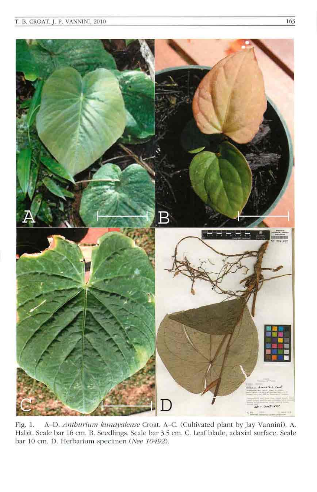

Fig. 1. A-D. Anthurium kunayalense Croat. A-C. (Cultivated plant by Jay Vannini). A. Habit. Scale bar 16 cm. B. Seedlings. Scale bar 3.5 cm. C. Leaf blade, adaxial surface. Scale bar 10 cm. D. Herbarium specimen (Nee 10492).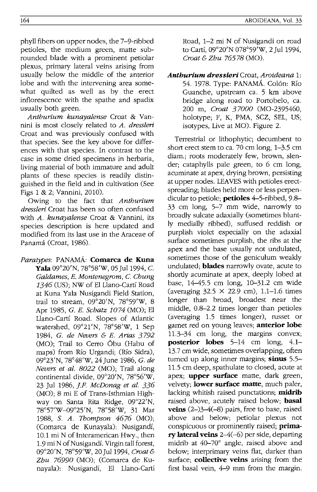phyll fibers on upper nodes, the 7-9-ribbed petioles, the medium green, matte subrounded blade with a prominent petiolar plexus, primary lateral veins arising from usually below the middle of the anterior lobe and with the intervening area somewhat quilted as well as by the erect inflorescence with the spathe and spadix usually both green.

*Anthurium kunayalense* Croat & Vannini is most closely related to *A. dressleri*  Croat and was previously confused with that species. See the key above for differences with that species. In contrast to the case in some dried specimens in herbaria, living material of both immature and adult plants of these species is readily distinguished in the field and in cultivation (See Figs 1 & 2; Vannini, 2010).

Owing to the fact that *Anthurium dressleri* Croat has been so often confused with *A. kunayalense* Croat & Vannini, its species description is here updated and modified from its last use in the Araceae of Panamá (Croat, 1986).

Paratypes: PANAMÁ: Comarca de Kuna Yala 09°20'N, 78°58'W, 05 Jul 1994, C. *Galdames, E. Montenegrom,* C. *Chung*  1346 (US); NW of EI Llano-Carti Road at Kuna Yala Nusigandi Field Station, trail to stream, 09°20'N, 78°59'W, 8 Apr 1985, G. *E. Schatz 1074* (MO); EI Llano-Carti Road. Slopes of Atlantic watershed, 09°21'N, 78°58'W, 1 Sep 1984, G. *de Nevers* & *E. Arias* 3792 (MO); Trail to Cerro 6bu (Habu of maps) from Rio Urgandi; (Rio Sidra), 09°23'N, 78°48'W, 24June 1986, G. *de Nevers et al. 8022* (MO); Trail along continental divide, 09°20'N, 78°56'w, 23 Jul 1986, *J.F. McDonag et al. 336*  (MO); 8 mi E of Trans-Isthmian Highway on Santa Rita Ridge, 09°22'N, 78°57'W-09°25'N, 78°58'W, 31 Mar 1988, S. *A. Thompson* 4676 (MO); (Comarca de Kunayala): Nusigandi, 10.1 mi N of Interamerican Hwy., then 1.9 mi N of Nusigandi. Virgin tall forest, 09°20'N, 78°59'W, 20Ju11994, *Croat& Zhu 76990* (MO); (Comarca de Kunayala): Nusigandi, EI Llano-Carti Road, 1-2 mi N of Nusigandi on road to Cartí, 09°20'N 078°59'W, 2 Jul 1994. *Croat* & *Zhu* 76578 (MO).

*Anthurlum dresslerl* Croat, *Aroideana* 1: 54. 1978. Type: PANAMA.. Colon: Rio Guanche, upstream ca. 5 km above bridge along road to Portobelo, ca. 200 m, *Croat 37000* (MO-2395460, holotype; F, K, PMA, SCZ, SEL, US; isotypes, Live at MO). Figure 2.

Terrestrial or lithophytic; decumbent to short erect stem to ca. 70 cm long, 1-3.5 cm diam.; roots moderately few, brown, slender; cataphylls pale green, to 6 cm long, acuminate at apex, drying brown, persisting at upper nodes. LEAVES with petioles erectspreading; blades held more or less perpendicular to petiole: **petioles** 4-5-ribbed, 9.8-33 cm long, 5-7 mm wide, narrowly to broadly sulcate adaxially (sometimes bluntly medially ribbed), suffused reddish or purplish violet especially on the adaxial surface sometimes purplish, the ribs at the apex and the base usually not undulated, sometimes those of the geniculum weakly undulated: **blades** narrowly ovate, acute to shortly acuminate at apex, deeply lobed at base, 14-45.5 cm long, 10-31.2 cm wide (averaging  $32.5 \times 22.9$  cm), 1.1–1.6 times longer than broad, broadest near the middle, 0.8-2.2 times longer than petioles (averaging 1.5 times longer), russet or garnet red on young leaves; **anterior lobe** 11.3-34 cm long, the margins convex; posterior lobes 5-14 cm long, 4.1- 13.7 cm wide, sometimes overlapping, often turned up along inner margins; sinus 5.5-11.5 cm deep, spathulate to closed, acute at apex; **upper surface** matte, dark green, velvety; **lower surface matte**, much paler, lacking whitish raised punctations;  $\text{midrib}$ raised above, acutely raised below; **basal** veins  $(2-)3-4(-8)$  pairs, free to base, raised above and below; petiolar plexus not conspicuous or prominently raised; **prima**ry lateral veins 2-4(-6) per side, departing midrib at 40-70° angle, raised above and below; interprimary veins flat, darker than surface; **collective veins** arising from the first basal vein, 4-9 mm from the margin.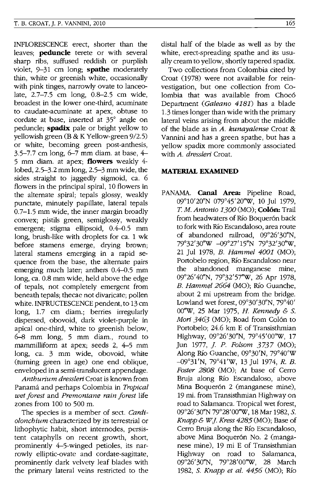INFLORESCENCE erect, shorter than the leaves; **peduncle** terete or with several sharp ribs, suffused reddish or purplish violet, 9-31 cm long; **spathe** moderately thin, white or greenish white, occasionally with pink tinges, narrowly ovate to lanceolate, 2.7-7.5 cm long, 0.8-2.5 cm wide, broadest in the lower one-third, acuminate to caudate-acuminate at apex, obtuse to cordate at base, inserted at 35° angle on peduncle; **spadix** pale or bright yellow to yellowish green  $(B & K$  Yellow-green  $9/2.5$ ) or white, becoming green post-anthesis, 3.5-7.7 cm long, 6-7 mm diam. at base, 4- 5 mm diam. at apex; **flowers** weakly 4 lobed, 2.5-3.2 mm long, 2.5-3 mm wide, the sides straight to jaggedly sigmoid, ca. 6 flowers in the principal spiral, 10 flowers in the alternate spiral; tepals glossy, weakly punctate, minutely papillate, lateral tepals 0.7-1.5 mm wide, the inner margin broadly convex; pistils green, semiglossy, weakly emergent; stigma ellipsoid, 0.4-0.5 mm long, brush-like with droplets for ca. 1 wk before stamens emerge, drying brown; lateral stamens emerging in a rapid sequence from the base, the alternate pairs emerging much later; anthers  $0.4 - 0.5$  mm long, ca. 0.8 mm wide, held above the edge of tepals, not completely emergent from beneath tepals; thecae not divaricate; pollen white. INFRUCTESCENCE pendent, to 13 cm long, 1.7 cm diam.; berries irregularly dispersed, obovoid, dark violet-purple in apical one-third, white to greenish below, 6-8 mm long, 5 mm diam., round to mammilliform at apex; seeds 2, 4-5 mm long, ca. 3 mm wide, obovoid, white (turning green in age) one end oblique, enveloped in a semi-translucent appendage.

*Anthunum dresslen* Croat is known from Panama and perhaps Colombia in *Tropical wet forest* and *Premontane rain forest* life zones from 100 to 500 m.

The species is a member of sect. *Cardiolonchium* characterized by its terrestrial or lithophytic habit, short internodes, persistent cataphylls on recent growth, short, prominently 4-5-winged petioles, its narrowly elliptic-ovate and cordate-sagittate, prominently dark velvety leaf blades with the primary lateral veins restricted to the distal half of the blade as well as by the white, erect-spreading spathe and its usually cream to yellow, shortly tapered spadix.

Two collections from Colombia cited by Croat (1978) were not available for reinvestigation, but one collection from Colombia that was available from Chocó Department *(Galeano* 4181) has a blade 1.3 times longer than wide with the primary lateral veins arising from about the middle of the blade as in *A. kunayalense* Croat & Vannini and has a green spathe, but has a yellow spadix more commonly associated with *A. dressleri* Croat.

#### **MATERIAL EXAMINED**

PANAMA. **Canal Area:** Pipeline Road, 09°10'20"N 079°45'20''W, 10 Jul 1979, *T M. Antonio 1300* (MO); **Colon:** Trail from headwaters of Río Boquerón back to fork with Río Escandaloso, area route of abandoned railroad, 09°26'30"N, 79°32'30''W -09°27'15"N 79°32'30''W, 21 Jul 1978, *B. Hammel 4001* (MO); Portobelo region, Río Escandaloso near the abandoned manganese mine, 09°26'40"N, 79°32'57"W, 26 Apr 1978, *B. Hammel 2664* (MO); Río Guanche, about 2 mi upstream from the bridge. Lowland wet forest, 09°30'30"N, 79°40' OO''W, 25 Mar 1975, *H. Kennedy* & s. *Mori 3463* (MO); Road from Colón to Portobelo; 24.6 km E of Transisthmian Highway, 09°26'30"N, 79°45'00''W, 17 Jun 1977, *j. P. Folsom* 3737 (MO); Along Río Guanche, 09°30'N, 79°40'W -09°31'N, 79°41'W, 13 Jul 1974, *R. B. Foster 2808* (MO); At base of Cerro Bruja along Rio Escandaloso, above Mina Boquerón 2 (manganese mine), 19 mi. from Transisthmian Highway on road to Salamanca. Tropical wet forest, 09°26'30"N 79°28'OO''W, 18 Mar 1982, S. *Knapp* & *W J. Kress* 4285 (MO); Base of Cerro Bruja along the Río Escandaloso, above Mina Boquerón No. 2 (manganese mine), 19 mi E of Transisthmian Highway on road to Salamanca, 09°26'30"N, 79°28'OO''W, 28 March 1982, S. *Knapp et al.* 4456 (MO); Rio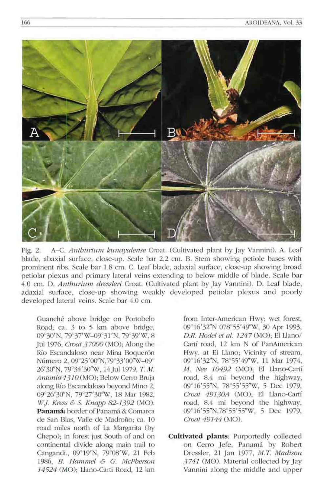

Fig. 2. A-C. *Antburium kunayalense* Croat. (Cultivated plant by Jay Vannini). A. Leaf blade, abaxial surface, close-up. Scale bar 2.2 cm. B. Stem showing petiole bases with prominent ribs. Scale bar 1.8 cm. C. Leaf blade, adaxial surface, close-up showing broad petiolar plexus and primary lateral veins extending to below middle of blade. Scale bar 4.0 cm. D. *Anthurium dressleri* Croat. (Cultivated plant by Jay Vannini). D. Leaf blade, adaxial surface, close-up showing weakly developed petiolar plexus and poorly developed lateral veins. Scale bar 4.0 cm.

Guanché above bridge on Portobelo Road; ca. 3 to 5 km above bridge, 09°30'N, 79°37'W-09°31'N, 79°39'W, 8 Jul 1976, *C1'Oat 37000* (MO); Along the Río Escandaloso near Mina Boquerón Número 2, 09°25'00"N,79°33'00"W-09° 26'30"N, 79°34'30"W, 14 Jul 1979, T. M. *Antonio 13 10* (MO); Below Cerro Bruja along RIo Escandaloso beyond Mino 2, 09°26'30"N, 79°27'30"W, 18 Mar 1982, *W.J. Kress & S. Knapp 82-1392* (MO). Panamá: border of Panamá & Comarca de San Blas, Valle de Madroño; ca. 10 road miles north of La Margarita (by Chepo); in forest just South of and on continental divide along main trail to Cangandi., 09°19'N, 79°08'W, 21 Feb *1986, B. Hammel* & C. *McPherson*  14524 (MO); Llano-Carti Road, 12 km

from Inter-American Hwy; wet forest, 09°16'32"N 078°55'49"W, 30 Apr 1993, *DR. Hodel et al.* 1247 (MO); El L1ano/ Cartí road, 12 km N of PanAmerican Hwy. at EI Llano; Vicinity of stream, 09°16'32"N, 78°55'49"W, 11 Mar 1974, *M. Nee 10492* (MO); El Llano-Cartí roacl, 8.4 mi beyond the highway, 09°16'55"N, 78°55'55"W, 5 Dec 1979, *Croat 49130A* (MO); El Llano-Cartí road, 8.4 mi beyond the highway, 09°16'55"N,78°55'55"W, 5 Dec 1979, *Croat* 49144 (MO).

**Cultivated plants:** Purportedly collected on Cerro Jefe, Panama by Robert Dressler, 21 Jan 1977, *MT Madison*  3 741 (MO). Material collected by Jay Vannini along the middle and upper